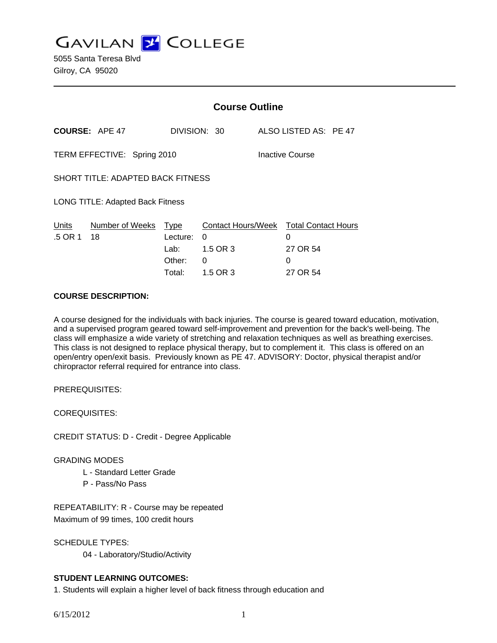**GAVILAN Z COLLEGE** 

5055 Santa Teresa Blvd Gilroy, CA 95020

|                                   |                             | <b>Course Outline</b>                  |                                                              |  |                       |  |
|-----------------------------------|-----------------------------|----------------------------------------|--------------------------------------------------------------|--|-----------------------|--|
|                                   | <b>COURSE: APE 47</b>       |                                        | DIVISION: 30                                                 |  | ALSO LISTED AS: PE 47 |  |
|                                   | TERM EFFECTIVE: Spring 2010 |                                        | Inactive Course                                              |  |                       |  |
| SHORT TITLE: ADAPTED BACK FITNESS |                             |                                        |                                                              |  |                       |  |
| LONG TITLE: Adapted Back Fitness  |                             |                                        |                                                              |  |                       |  |
| Units<br>.5 OR 1                  | Number of Weeks<br>- 18     | Type<br>Lecture:<br>Lab: Lab<br>Other: | Contact Hours/Week Total Contact Hours<br>0<br>1.5 OR 3<br>0 |  | 0<br>27 OR 54<br>0    |  |
|                                   |                             | Total:                                 | 1.5 OR 3                                                     |  | 27 OR 54              |  |

### **COURSE DESCRIPTION:**

A course designed for the individuals with back injuries. The course is geared toward education, motivation, and a supervised program geared toward self-improvement and prevention for the back's well-being. The class will emphasize a wide variety of stretching and relaxation techniques as well as breathing exercises. This class is not designed to replace physical therapy, but to complement it. This class is offered on an open/entry open/exit basis. Previously known as PE 47. ADVISORY: Doctor, physical therapist and/or chiropractor referral required for entrance into class.

PREREQUISITES:

COREQUISITES:

CREDIT STATUS: D - Credit - Degree Applicable

### GRADING MODES

- L Standard Letter Grade
- P Pass/No Pass

REPEATABILITY: R - Course may be repeated Maximum of 99 times, 100 credit hours

SCHEDULE TYPES:

04 - Laboratory/Studio/Activity

# **STUDENT LEARNING OUTCOMES:**

1. Students will explain a higher level of back fitness through education and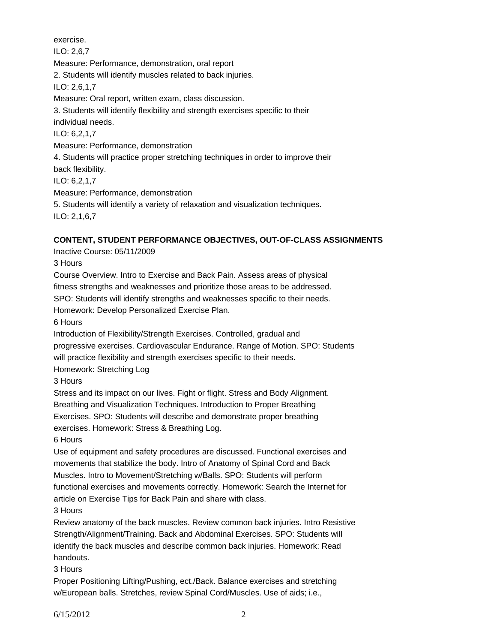exercise. ILO: 2,6,7 Measure: Performance, demonstration, oral report 2. Students will identify muscles related to back injuries. ILO: 2,6,1,7 Measure: Oral report, written exam, class discussion. 3. Students will identify flexibility and strength exercises specific to their individual needs. ILO: 6,2,1,7 Measure: Performance, demonstration 4. Students will practice proper stretching techniques in order to improve their back flexibility. ILO: 6,2,1,7 Measure: Performance, demonstration 5. Students will identify a variety of relaxation and visualization techniques.

ILO: 2,1,6,7

# **CONTENT, STUDENT PERFORMANCE OBJECTIVES, OUT-OF-CLASS ASSIGNMENTS**

Inactive Course: 05/11/2009

3 Hours

Course Overview. Intro to Exercise and Back Pain. Assess areas of physical fitness strengths and weaknesses and prioritize those areas to be addressed.

SPO: Students will identify strengths and weaknesses specific to their needs.

Homework: Develop Personalized Exercise Plan.

6 Hours

Introduction of Flexibility/Strength Exercises. Controlled, gradual and

progressive exercises. Cardiovascular Endurance. Range of Motion. SPO: Students

will practice flexibility and strength exercises specific to their needs.

Homework: Stretching Log

3 Hours

Stress and its impact on our lives. Fight or flight. Stress and Body Alignment.

Breathing and Visualization Techniques. Introduction to Proper Breathing

Exercises. SPO: Students will describe and demonstrate proper breathing

exercises. Homework: Stress & Breathing Log.

6 Hours

Use of equipment and safety procedures are discussed. Functional exercises and movements that stabilize the body. Intro of Anatomy of Spinal Cord and Back Muscles. Intro to Movement/Stretching w/Balls. SPO: Students will perform functional exercises and movements correctly. Homework: Search the Internet for article on Exercise Tips for Back Pain and share with class.

3 Hours

Review anatomy of the back muscles. Review common back injuries. Intro Resistive Strength/Alignment/Training. Back and Abdominal Exercises. SPO: Students will identify the back muscles and describe common back injuries. Homework: Read handouts.

3 Hours

Proper Positioning Lifting/Pushing, ect./Back. Balance exercises and stretching w/European balls. Stretches, review Spinal Cord/Muscles. Use of aids; i.e.,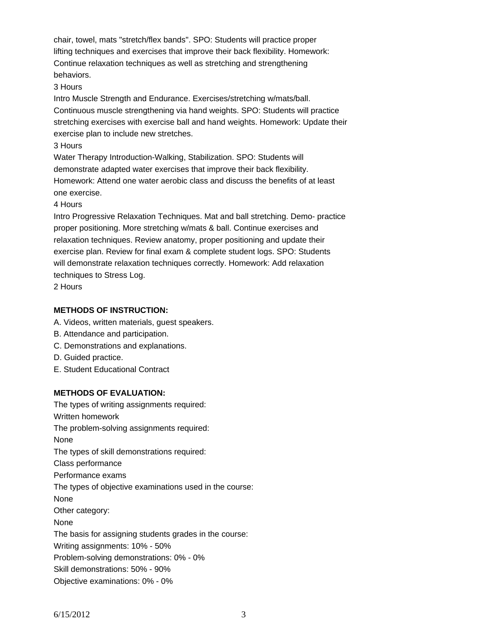chair, towel, mats "stretch/flex bands". SPO: Students will practice proper lifting techniques and exercises that improve their back flexibility. Homework: Continue relaxation techniques as well as stretching and strengthening behaviors.

### 3 Hours

Intro Muscle Strength and Endurance. Exercises/stretching w/mats/ball. Continuous muscle strengthening via hand weights. SPO: Students will practice stretching exercises with exercise ball and hand weights. Homework: Update their exercise plan to include new stretches.

### 3 Hours

Water Therapy Introduction-Walking, Stabilization. SPO: Students will demonstrate adapted water exercises that improve their back flexibility. Homework: Attend one water aerobic class and discuss the benefits of at least one exercise.

### 4 Hours

Intro Progressive Relaxation Techniques. Mat and ball stretching. Demo- practice proper positioning. More stretching w/mats & ball. Continue exercises and relaxation techniques. Review anatomy, proper positioning and update their exercise plan. Review for final exam & complete student logs. SPO: Students will demonstrate relaxation techniques correctly. Homework: Add relaxation techniques to Stress Log.

2 Hours

# **METHODS OF INSTRUCTION:**

- A. Videos, written materials, guest speakers.
- B. Attendance and participation.
- C. Demonstrations and explanations.
- D. Guided practice.
- E. Student Educational Contract

# **METHODS OF EVALUATION:**

The types of writing assignments required: Written homework The problem-solving assignments required: None The types of skill demonstrations required: Class performance Performance exams The types of objective examinations used in the course: None Other category: None The basis for assigning students grades in the course: Writing assignments: 10% - 50% Problem-solving demonstrations: 0% - 0% Skill demonstrations: 50% - 90% Objective examinations: 0% - 0%